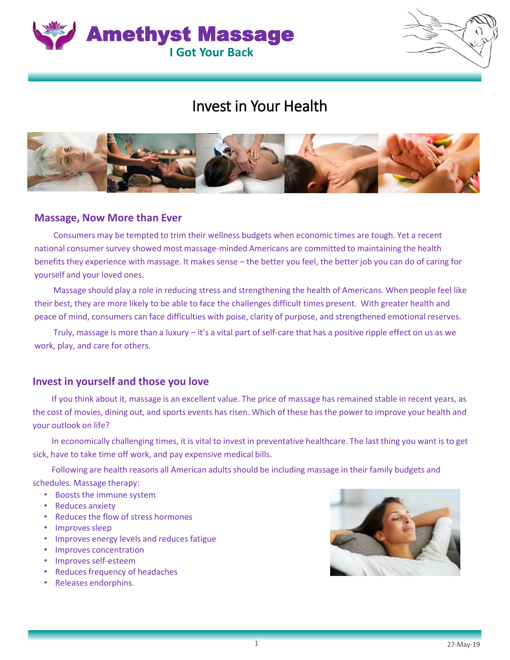



## Invest in Your Health



## **Massage, Now More than Ever**

Consumers may be tempted to trim their wellness budgets when economic times are tough. Yet a recent national consumer survey showed most massage-minded Americans are committed to maintaining the health benefits they experience with massage. It makes sense – the better you feel, the better job you can do of caring for yourself and your loved ones.

Massage should play a role in reducing stress and strengthening the health of Americans. When people feel like their best, they are more likely to be able to face the challenges difficult times present. With greater health and peace of mind, consumers can face difficulties with poise, clarity of purpose, and strengthened emotional reserves.

Truly, massage is more than a luxury – it's a vital part of self-care that has a positive ripple effect on us as we work, play, and care for others.

## **Invest in yourself and those you love**

If you think about it, massage is an excellent value. The price of massage has remained stable in recent years, as the cost of movies, dining out, and sports events has risen. Which of these has the power to improve your health and your outlook on life?

In economically challenging times, it is vital to invest in preventative healthcare. The last thing you want is to get sick, have to take time off work, and pay expensive medical bills.

Following are health reasons all American adults should be including massage in their family budgets and schedules. Massage therapy:

- Boosts the immune system
- Reduces anxiety
- Reduces the flow of stress hormones
- Improves sleep
- Improves energy levels and reduces fatigue
- Improves concentration
- Improves self-esteem
- Reduces frequency of headaches
- Releases endorphins.